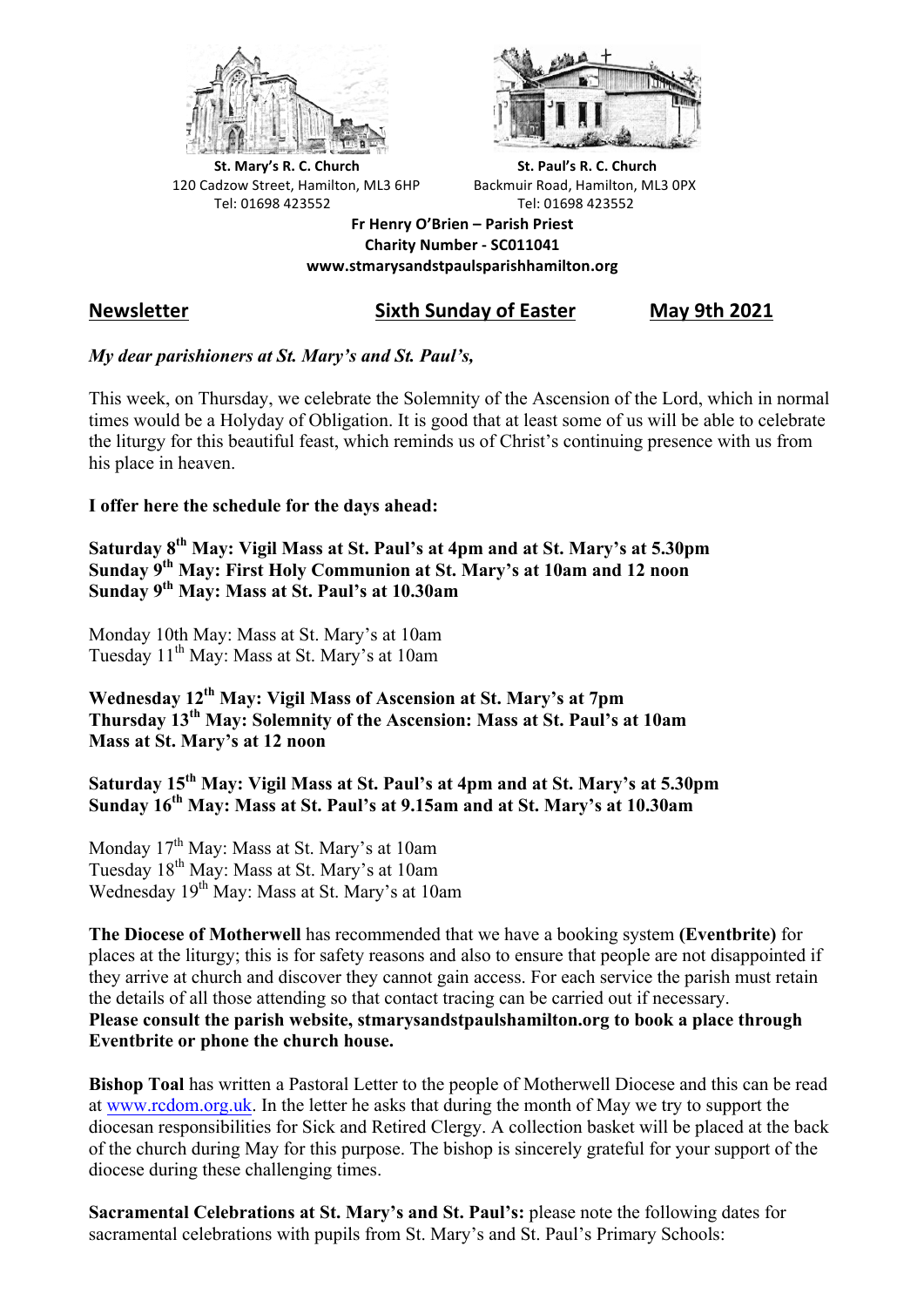



**St.** Mary's R. C. Church St. Paul's R. C. Church 120 Cadzow Street, Hamilton, ML3 6HP Backmuir Road, Hamilton, ML3 0PX Tel: 01698 423552 Tel: 01698 423552

**Fr Henry O'Brien – Parish Priest Charity Number - SC011041 www.stmarysandstpaulsparishhamilton.org**

## **Newsletter Sixth Sunday of Easter May 9th 2021**

#### *My dear parishioners at St. Mary's and St. Paul's,*

This week, on Thursday, we celebrate the Solemnity of the Ascension of the Lord, which in normal times would be a Holyday of Obligation. It is good that at least some of us will be able to celebrate the liturgy for this beautiful feast, which reminds us of Christ's continuing presence with us from his place in heaven.

#### **I offer here the schedule for the days ahead:**

**Saturday 8th May: Vigil Mass at St. Paul's at 4pm and at St. Mary's at 5.30pm Sunday 9th May: First Holy Communion at St. Mary's at 10am and 12 noon Sunday 9th May: Mass at St. Paul's at 10.30am**

Monday 10th May: Mass at St. Mary's at 10am Tuesday 11<sup>th</sup> May: Mass at St. Mary's at 10am

**Wednesday 12th May: Vigil Mass of Ascension at St. Mary's at 7pm Thursday 13th May: Solemnity of the Ascension: Mass at St. Paul's at 10am Mass at St. Mary's at 12 noon**

**Saturday 15th May: Vigil Mass at St. Paul's at 4pm and at St. Mary's at 5.30pm Sunday 16th May: Mass at St. Paul's at 9.15am and at St. Mary's at 10.30am**

Monday  $17<sup>th</sup>$  May: Mass at St. Mary's at 10am Tuesday 18th May: Mass at St. Mary's at 10am Wednesday 19<sup>th</sup> May: Mass at St. Mary's at 10am

**The Diocese of Motherwell** has recommended that we have a booking system **(Eventbrite)** for places at the liturgy; this is for safety reasons and also to ensure that people are not disappointed if they arrive at church and discover they cannot gain access. For each service the parish must retain the details of all those attending so that contact tracing can be carried out if necessary. **Please consult the parish website, stmarysandstpaulshamilton.org to book a place through Eventbrite or phone the church house.**

**Bishop Toal** has written a Pastoral Letter to the people of Motherwell Diocese and this can be read at www.rcdom.org.uk. In the letter he asks that during the month of May we try to support the diocesan responsibilities for Sick and Retired Clergy. A collection basket will be placed at the back of the church during May for this purpose. The bishop is sincerely grateful for your support of the diocese during these challenging times.

**Sacramental Celebrations at St. Mary's and St. Paul's:** please note the following dates for sacramental celebrations with pupils from St. Mary's and St. Paul's Primary Schools: